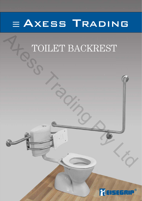

# TOILET BACKREST A<sub>R</sub>TOILET BACKREST

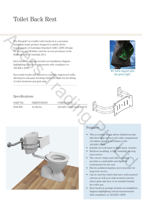The Eisegrip® accessible toilet backrest is a premium Australian made product designed to satisfy all the requirements of Australian Standard 1428.1-2009 (Design for Access and Mobility) and the access provisions of the Building Code of Australia 2011.

Each backrest package includes an installation diagram highlighting critical measurements with compliance to AS1428.1-2009.

Successful results will depend on carefully engineered walls, allowing for adequate blocking within the walls for the fitting of toilet backrests and grab rails.



WC back support gets the green light.

# Specifications

| PART NO.       |  |  |  |
|----------------|--|--|--|
| <b>EGR 800</b> |  |  |  |

ORIENTATION COMPLIANCE As Shown AS1428.1-2009 Amdt 1-2010





## Features

- This accessible design allows disabled people full wheel chair access to the toilet compartment circulation space in accordance with AS1428.1-2009.
- Suitable for Left-hand or Right-hand transfer.
- Backrest moulding is fully washable for long term service.
- The curved shape and solid mounting provides a comfortable and dignified environment for the user.
- Electro polished stainless steel structure for long term service
- Can be used for toilets that have wall mounted cisterns as well as in-wall mounted cisterns where grab rails have to be installed behind the toilet pan.
- Each backrest package includes an installation diagram highlighting critical measurements with compliance to AS1428.1-2009.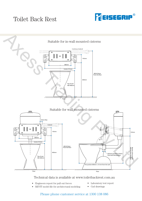



## Technical data is available at www.toiletbackrest.com.au

- Engineers report for pull out forces
- $\bullet$  REVIT model file for architectural modeling
- Laboratory test report
- Cad drawings

# Please phone customer service at 1300 138 086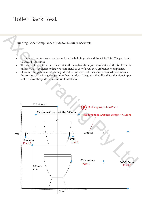Building Code Compliance Guide for EGR800 Backrests.

- It can be a daunting task to understand the the building code and the AS 1428.1-2009. pertinant to accessible facilities.
- The width of the toilet cistern determines the length of the adjacent grabrail and this is often misunderstood , it is therefore that we recommend to use of a CS32450 grabrail for compliance.
- Please see the grabrail installation guide below and note that the measurements do not indicate the position of the fixing flanges but rather the edge of the grab rail itself and it is therefore important to follow the guide for a successful installation.

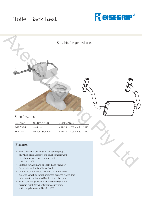



| FARI IVU. | UNIEN TAHUN       | <b>UUMFLIANUL</b>         |
|-----------|-------------------|---------------------------|
| EGR 750.S | As Shown          | AS1428.1-2009 Amdt 1-2010 |
| EGR 750   | Without Side Rail | AS1428.1-2009 Amdt 1-2010 |

## Features

- This accessible design allows disabled people full wheel chair access to the toilet compartment circulation space in accordance with AS1428.1-2009.
- Suitable for Left-hand or Right-hand transfer.
- Backrest cushion is fully washable .
- Can be used for toilets that have wall mounted cisterns as well as in wall mounted cisterns where grab rails have to be installed behind the toilet pan.
- Each backrest package includes an installation diagram highlighting critical measurements with compliance to AS1428.1-2009.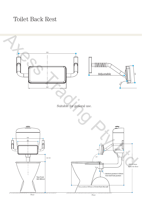